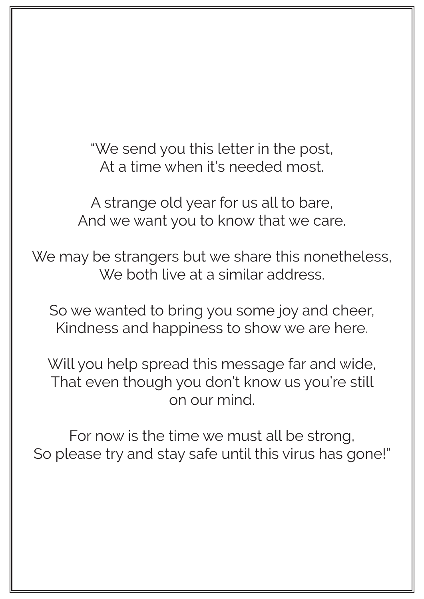"We send you this letter in the post, At a time when it's needed most.

A strange old year for us all to bare, And we want you to know that we care.

We may be strangers but we share this nonetheless, We both live at a similar address.

So we wanted to bring you some joy and cheer, Kindness and happiness to show we are here.

Will you help spread this message far and wide, That even though you don't know us you're still on our mind.

For now is the time we must all be strong, So please try and stay safe until this virus has gone!"